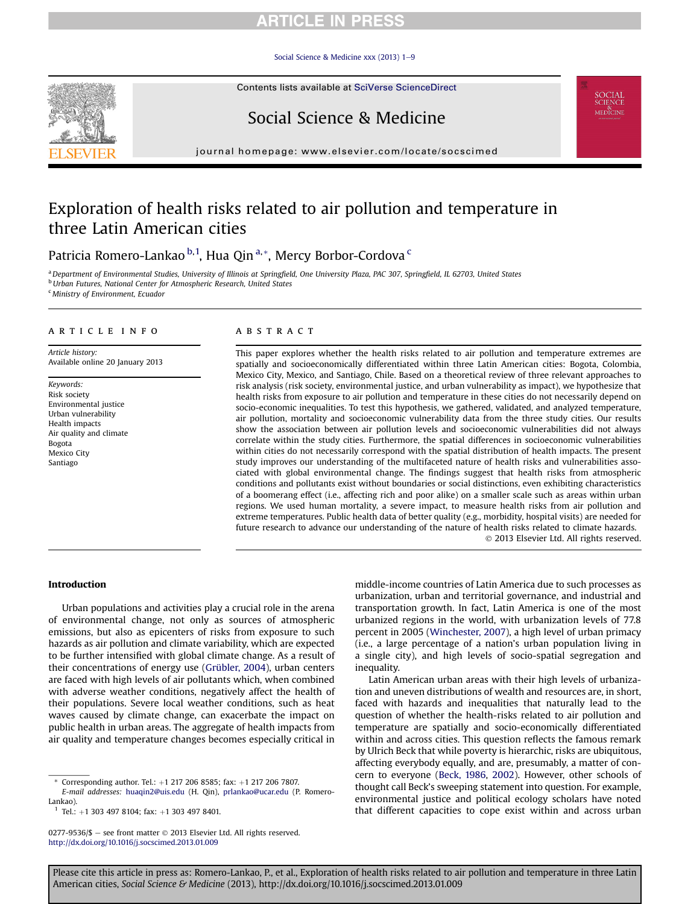[Social Science & Medicine xxx \(2013\) 1](http://dx.doi.org/10.1016/j.socscimed.2013.01.009)-[9](http://dx.doi.org/10.1016/j.socscimed.2013.01.009)

Contents lists available at [SciVerse ScienceDirect](www.sciencedirect.com/science/journal/02779536)



# Social Science & Medicine

journal homepage: [www.elsevier.com/locate/socscimed](http://www.elsevier.com/locate/socscimed)

# Exploration of health risks related to air pollution and temperature in three Latin American cities

Patricia Romero-Lankao <sup>b, 1</sup>, Hua Qin <sup>a, \*</sup>, Mercy Borbor-Cordova <sup>c</sup>

a Department of Environmental Studies, University of Illinois at Springfield, One University Plaza, PAC 307, Springfield, IL 62703, United States **b** Urban Futures, National Center for Atmospheric Research, United States <sup>c</sup> Ministry of Environment, Ecuador

#### article info

Article history: Available online 20 January 2013

Keywords: Risk society Environmental justice Urban vulnerability Health impacts Air quality and climate Bogota Mexico City Santiago

### **ABSTRACT**

This paper explores whether the health risks related to air pollution and temperature extremes are spatially and socioeconomically differentiated within three Latin American cities: Bogota, Colombia, Mexico City, Mexico, and Santiago, Chile. Based on a theoretical review of three relevant approaches to risk analysis (risk society, environmental justice, and urban vulnerability as impact), we hypothesize that health risks from exposure to air pollution and temperature in these cities do not necessarily depend on socio-economic inequalities. To test this hypothesis, we gathered, validated, and analyzed temperature, air pollution, mortality and socioeconomic vulnerability data from the three study cities. Our results show the association between air pollution levels and socioeconomic vulnerabilities did not always correlate within the study cities. Furthermore, the spatial differences in socioeconomic vulnerabilities within cities do not necessarily correspond with the spatial distribution of health impacts. The present study improves our understanding of the multifaceted nature of health risks and vulnerabilities associated with global environmental change. The findings suggest that health risks from atmospheric conditions and pollutants exist without boundaries or social distinctions, even exhibiting characteristics of a boomerang effect (i.e., affecting rich and poor alike) on a smaller scale such as areas within urban regions. We used human mortality, a severe impact, to measure health risks from air pollution and extreme temperatures. Public health data of better quality (e.g., morbidity, hospital visits) are needed for future research to advance our understanding of the nature of health risks related to climate hazards. 2013 Elsevier Ltd. All rights reserved.

### Introduction

Urban populations and activities play a crucial role in the arena of environmental change, not only as sources of atmospheric emissions, but also as epicenters of risks from exposure to such hazards as air pollution and climate variability, which are expected to be further intensified with global climate change. As a result of their concentrations of energy use [\(Grübler, 2004](#page-8-0)), urban centers are faced with high levels of air pollutants which, when combined with adverse weather conditions, negatively affect the health of their populations. Severe local weather conditions, such as heat waves caused by climate change, can exacerbate the impact on public health in urban areas. The aggregate of health impacts from air quality and temperature changes becomes especially critical in

middle-income countries of Latin America due to such processes as urbanization, urban and territorial governance, and industrial and transportation growth. In fact, Latin America is one of the most urbanized regions in the world, with urbanization levels of 77.8 percent in 2005 [\(Winchester, 2007\)](#page-8-0), a high level of urban primacy (i.e., a large percentage of a nation's urban population living in a single city), and high levels of socio-spatial segregation and inequality.

**SOCIAI**<br>SCIENCE MEDICINE

Latin American urban areas with their high levels of urbanization and uneven distributions of wealth and resources are, in short, faced with hazards and inequalities that naturally lead to the question of whether the health-risks related to air pollution and temperature are spatially and socio-economically differentiated within and across cities. This question reflects the famous remark by Ulrich Beck that while poverty is hierarchic, risks are ubiquitous, affecting everybody equally, and are, presumably, a matter of concern to everyone [\(Beck, 1986](#page-8-0), [2002](#page-8-0)). However, other schools of thought call Beck's sweeping statement into question. For example, environmental justice and political ecology scholars have noted that different capacities to cope exist within and across urban

Corresponding author. Tel.:  $+1$  217 206 8585; fax:  $+1$  217 206 7807.

E-mail addresses: [huaqin2@uis.edu](mailto:huaqin2@uis.edu) (H. Qin), [prlankao@ucar.edu](mailto:prlankao@ucar.edu) (P. Romero-Lankao).

 $1$  Tel.: +1 303 497 8104; fax: +1 303 497 8401.

<sup>0277-9536/\$ -</sup> see front matter  $\odot$  2013 Elsevier Ltd. All rights reserved. <http://dx.doi.org/10.1016/j.socscimed.2013.01.009>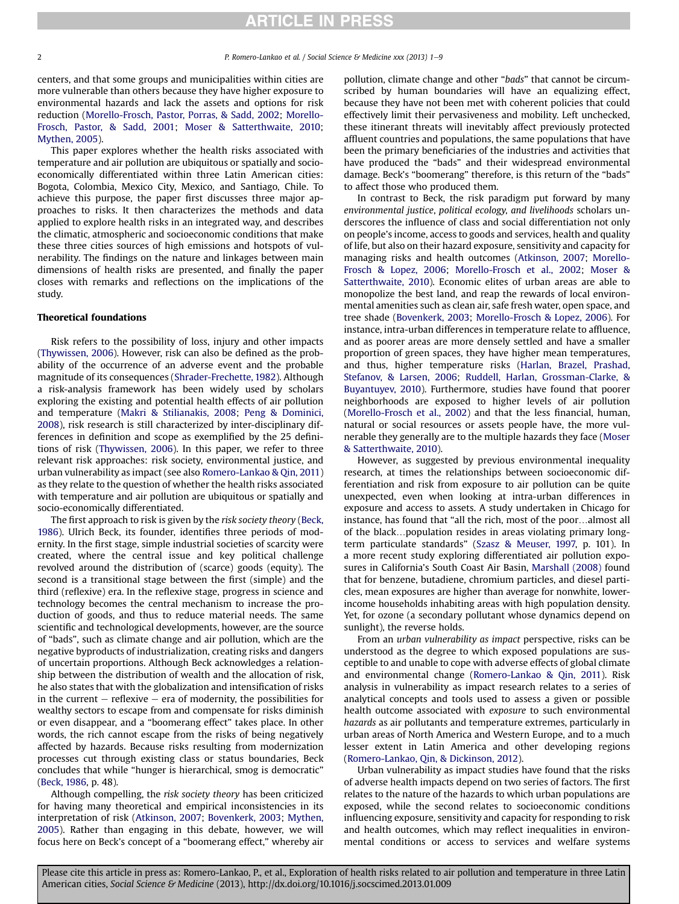centers, and that some groups and municipalities within cities are more vulnerable than others because they have higher exposure to environmental hazards and lack the assets and options for risk reduction [\(Morello-Frosch, Pastor, Porras, & Sadd, 2002](#page-8-0); [Morello-](#page-8-0)[Frosch, Pastor, & Sadd, 2001](#page-8-0); [Moser & Satterthwaite, 2010](#page-8-0); [Mythen, 2005\)](#page-8-0).

This paper explores whether the health risks associated with temperature and air pollution are ubiquitous or spatially and socioeconomically differentiated within three Latin American cities: Bogota, Colombia, Mexico City, Mexico, and Santiago, Chile. To achieve this purpose, the paper first discusses three major approaches to risks. It then characterizes the methods and data applied to explore health risks in an integrated way, and describes the climatic, atmospheric and socioeconomic conditions that make these three cities sources of high emissions and hotspots of vulnerability. The findings on the nature and linkages between main dimensions of health risks are presented, and finally the paper closes with remarks and reflections on the implications of the study.

## Theoretical foundations

Risk refers to the possibility of loss, injury and other impacts ([Thywissen, 2006](#page-8-0)). However, risk can also be defined as the probability of the occurrence of an adverse event and the probable magnitude of its consequences [\(Shrader-Frechette, 1982](#page-8-0)). Although a risk-analysis framework has been widely used by scholars exploring the existing and potential health effects of air pollution and temperature [\(Makri & Stilianakis, 2008](#page-8-0); [Peng & Dominici,](#page-8-0) [2008](#page-8-0)), risk research is still characterized by inter-disciplinary differences in definition and scope as exemplified by the 25 definitions of risk ([Thywissen, 2006\)](#page-8-0). In this paper, we refer to three relevant risk approaches: risk society, environmental justice, and urban vulnerability as impact (see also [Romero-Lankao & Qin, 2011\)](#page-8-0) as they relate to the question of whether the health risks associated with temperature and air pollution are ubiquitous or spatially and socio-economically differentiated.

The first approach to risk is given by the risk society theory [\(Beck,](#page-8-0) [1986](#page-8-0)). Ulrich Beck, its founder, identifies three periods of modernity. In the first stage, simple industrial societies of scarcity were created, where the central issue and key political challenge revolved around the distribution of (scarce) goods (equity). The second is a transitional stage between the first (simple) and the third (reflexive) era. In the reflexive stage, progress in science and technology becomes the central mechanism to increase the production of goods, and thus to reduce material needs. The same scientific and technological developments, however, are the source of "bads", such as climate change and air pollution, which are the negative byproducts of industrialization, creating risks and dangers of uncertain proportions. Although Beck acknowledges a relationship between the distribution of wealth and the allocation of risk, he also states that with the globalization and intensification of risks in the current  $-$  reflexive  $-$  era of modernity, the possibilities for wealthy sectors to escape from and compensate for risks diminish or even disappear, and a "boomerang effect" takes place. In other words, the rich cannot escape from the risks of being negatively affected by hazards. Because risks resulting from modernization processes cut through existing class or status boundaries, Beck concludes that while "hunger is hierarchical, smog is democratic" ([Beck, 1986,](#page-8-0) p. 48).

Although compelling, the risk society theory has been criticized for having many theoretical and empirical inconsistencies in its interpretation of risk [\(Atkinson, 2007;](#page-8-0) [Bovenkerk, 2003;](#page-8-0) [Mythen,](#page-8-0) [2005](#page-8-0)). Rather than engaging in this debate, however, we will focus here on Beck's concept of a "boomerang effect," whereby air pollution, climate change and other "bads" that cannot be circumscribed by human boundaries will have an equalizing effect, because they have not been met with coherent policies that could effectively limit their pervasiveness and mobility. Left unchecked, these itinerant threats will inevitably affect previously protected affluent countries and populations, the same populations that have been the primary beneficiaries of the industries and activities that have produced the "bads" and their widespread environmental damage. Beck's "boomerang" therefore, is this return of the "bads" to affect those who produced them.

In contrast to Beck, the risk paradigm put forward by many environmental justice, political ecology, and livelihoods scholars underscores the influence of class and social differentiation not only on people's income, access to goods and services, health and quality of life, but also on their hazard exposure, sensitivity and capacity for managing risks and health outcomes ([Atkinson, 2007](#page-8-0); [Morello-](#page-8-0)[Frosch & Lopez, 2006](#page-8-0); [Morello-Frosch et al., 2002;](#page-8-0) [Moser &](#page-8-0) [Satterthwaite, 2010\)](#page-8-0). Economic elites of urban areas are able to monopolize the best land, and reap the rewards of local environmental amenities such as clean air, safe fresh water, open space, and tree shade ([Bovenkerk, 2003;](#page-8-0) [Morello-Frosch & Lopez, 2006\)](#page-8-0). For instance, intra-urban differences in temperature relate to affluence, and as poorer areas are more densely settled and have a smaller proportion of green spaces, they have higher mean temperatures, and thus, higher temperature risks ([Harlan, Brazel, Prashad,](#page-8-0) [Stefanov, & Larsen, 2006](#page-8-0); [Ruddell, Harlan, Grossman-Clarke, &](#page-8-0) [Buyantuyev, 2010](#page-8-0)). Furthermore, studies have found that poorer neighborhoods are exposed to higher levels of air pollution ([Morello-Frosch et al., 2002\)](#page-8-0) and that the less financial, human, natural or social resources or assets people have, the more vulnerable they generally are to the multiple hazards they face [\(Moser](#page-8-0) [& Satterthwaite, 2010\)](#page-8-0).

However, as suggested by previous environmental inequality research, at times the relationships between socioeconomic differentiation and risk from exposure to air pollution can be quite unexpected, even when looking at intra-urban differences in exposure and access to assets. A study undertaken in Chicago for instance, has found that "all the rich, most of the poor...almost all of the black...population resides in areas violating primary longterm particulate standards" [\(Szasz & Meuser, 1997,](#page-8-0) p. 101). In a more recent study exploring differentiated air pollution exposures in California's South Coast Air Basin, [Marshall \(2008\)](#page-8-0) found that for benzene, butadiene, chromium particles, and diesel particles, mean exposures are higher than average for nonwhite, lowerincome households inhabiting areas with high population density. Yet, for ozone (a secondary pollutant whose dynamics depend on sunlight), the reverse holds.

From an urban vulnerability as impact perspective, risks can be understood as the degree to which exposed populations are susceptible to and unable to cope with adverse effects of global climate and environmental change [\(Romero-Lankao & Qin, 2011\)](#page-8-0). Risk analysis in vulnerability as impact research relates to a series of analytical concepts and tools used to assess a given or possible health outcome associated with exposure to such environmental hazards as air pollutants and temperature extremes, particularly in urban areas of North America and Western Europe, and to a much lesser extent in Latin America and other developing regions ([Romero-Lankao, Qin, & Dickinson, 2012\)](#page-8-0).

Urban vulnerability as impact studies have found that the risks of adverse health impacts depend on two series of factors. The first relates to the nature of the hazards to which urban populations are exposed, while the second relates to socioeconomic conditions influencing exposure, sensitivity and capacity for responding to risk and health outcomes, which may reflect inequalities in environmental conditions or access to services and welfare systems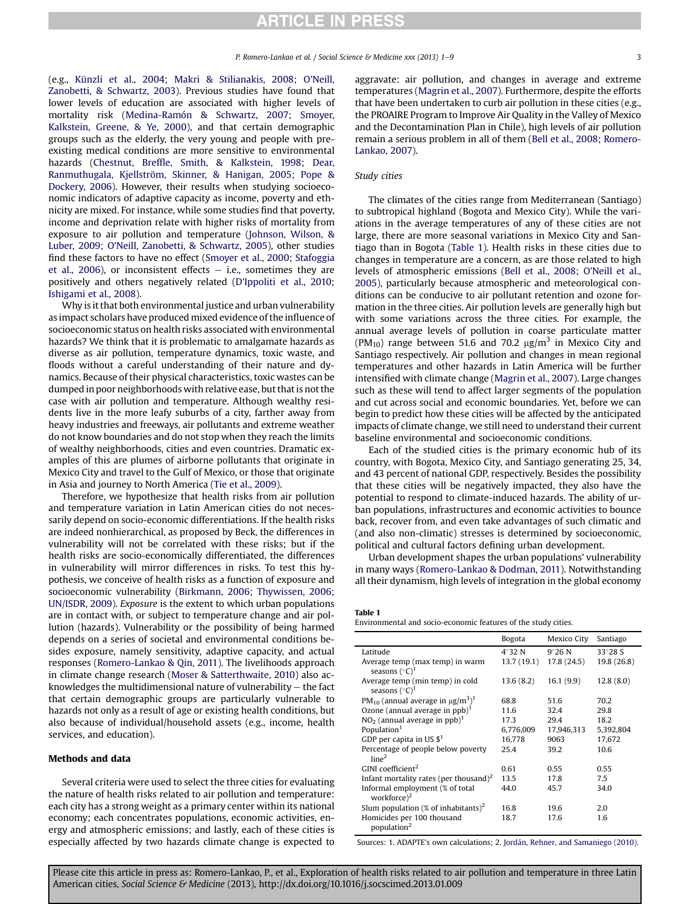<span id="page-2-0"></span>(e.g., [Künzli et al., 2004](#page-8-0); [Makri & Stilianakis, 2008;](#page-8-0) O'[Neill,](#page-8-0) [Zanobetti, & Schwartz, 2003](#page-8-0)). Previous studies have found that lower levels of education are associated with higher levels of mortality risk [\(Medina-Ramón & Schwartz, 2007](#page-8-0); [Smoyer,](#page-8-0) [Kalkstein, Greene, & Ye, 2000\)](#page-8-0), and that certain demographic groups such as the elderly, the very young and people with preexisting medical conditions are more sensitive to environmental hazards (Chestnut, Breffl[e, Smith, & Kalkstein, 1998](#page-8-0); [Dear,](#page-8-0) [Ranmuthugala, Kjellström, Skinner, & Hanigan, 2005;](#page-8-0) [Pope &](#page-8-0) [Dockery, 2006](#page-8-0)). However, their results when studying socioeconomic indicators of adaptive capacity as income, poverty and ethnicity are mixed. For instance, while some studies find that poverty, income and deprivation relate with higher risks of mortality from exposure to air pollution and temperature [\(Johnson, Wilson, &](#page-8-0) [Luber, 2009](#page-8-0); O'[Neill, Zanobetti, & Schwartz, 2005\)](#page-8-0), other studies find these factors to have no effect [\(Smoyer et al., 2000;](#page-8-0) [Stafoggia](#page-8-0) [et al., 2006](#page-8-0)), or inconsistent effects  $-$  i.e., sometimes they are positively and others negatively related (D'[Ippoliti et al., 2010;](#page-8-0) [Ishigami et al., 2008](#page-8-0)).

Why is it that both environmental justice and urban vulnerability as impact scholars have produced mixed evidence of the influence of socioeconomic status on health risks associated with environmental hazards? We think that it is problematic to amalgamate hazards as diverse as air pollution, temperature dynamics, toxic waste, and floods without a careful understanding of their nature and dynamics. Because of their physical characteristics, toxic wastes can be dumped in poor neighborhoods with relative ease, but that is not the case with air pollution and temperature. Although wealthy residents live in the more leafy suburbs of a city, farther away from heavy industries and freeways, air pollutants and extreme weather do not know boundaries and do not stop when they reach the limits of wealthy neighborhoods, cities and even countries. Dramatic examples of this are plumes of airborne pollutants that originate in Mexico City and travel to the Gulf of Mexico, or those that originate in Asia and journey to North America ([Tie et al., 2009\)](#page-8-0).

Therefore, we hypothesize that health risks from air pollution and temperature variation in Latin American cities do not necessarily depend on socio-economic differentiations. If the health risks are indeed nonhierarchical, as proposed by Beck, the differences in vulnerability will not be correlated with these risks; but if the health risks are socio-economically differentiated, the differences in vulnerability will mirror differences in risks. To test this hypothesis, we conceive of health risks as a function of exposure and socioeconomic vulnerability ([Birkmann, 2006](#page-8-0); [Thywissen, 2006;](#page-8-0) [UN/ISDR, 2009](#page-8-0)). Exposure is the extent to which urban populations are in contact with, or subject to temperature change and air pollution (hazards). Vulnerability or the possibility of being harmed depends on a series of societal and environmental conditions besides exposure, namely sensitivity, adaptive capacity, and actual responses [\(Romero-Lankao & Qin, 2011](#page-8-0)). The livelihoods approach in climate change research [\(Moser & Satterthwaite, 2010\)](#page-8-0) also acknowledges the multidimensional nature of vulnerability  $-$  the fact that certain demographic groups are particularly vulnerable to hazards not only as a result of age or existing health conditions, but also because of individual/household assets (e.g., income, health services, and education).

#### Methods and data

Several criteria were used to select the three cities for evaluating the nature of health risks related to air pollution and temperature: each city has a strong weight as a primary center within its national economy; each concentrates populations, economic activities, energy and atmospheric emissions; and lastly, each of these cities is especially affected by two hazards climate change is expected to aggravate: air pollution, and changes in average and extreme temperatures [\(Magrin et al., 2007\)](#page-8-0). Furthermore, despite the efforts that have been undertaken to curb air pollution in these cities (e.g., the PROAIRE Program to Improve Air Quality in the Valley of Mexico and the Decontamination Plan in Chile), high levels of air pollution remain a serious problem in all of them ([Bell et al., 2008;](#page-8-0) [Romero-](#page-8-0)[Lankao, 2007\)](#page-8-0).

#### Study cities

The climates of the cities range from Mediterranean (Santiago) to subtropical highland (Bogota and Mexico City). While the variations in the average temperatures of any of these cities are not large, there are more seasonal variations in Mexico City and Santiago than in Bogota (Table 1). Health risks in these cities due to changes in temperature are a concern, as are those related to high levels of atmospheric emissions ([Bell et al., 2008](#page-8-0); O'[Neill et al.,](#page-8-0) [2005\)](#page-8-0), particularly because atmospheric and meteorological conditions can be conducive to air pollutant retention and ozone formation in the three cities. Air pollution levels are generally high but with some variations across the three cities. For example, the annual average levels of pollution in coarse particulate matter (PM<sub>10</sub>) range between 51.6 and 70.2  $\mu$ g/m<sup>3</sup> in Mexico City and Santiago respectively. Air pollution and changes in mean regional temperatures and other hazards in Latin America will be further intensified with climate change ([Magrin et al., 2007](#page-8-0)). Large changes such as these will tend to affect larger segments of the population and cut across social and economic boundaries. Yet, before we can begin to predict how these cities will be affected by the anticipated impacts of climate change, we still need to understand their current baseline environmental and socioeconomic conditions.

Each of the studied cities is the primary economic hub of its country, with Bogota, Mexico City, and Santiago generating 25, 34, and 43 percent of national GDP, respectively. Besides the possibility that these cities will be negatively impacted, they also have the potential to respond to climate-induced hazards. The ability of urban populations, infrastructures and economic activities to bounce back, recover from, and even take advantages of such climatic and (and also non-climatic) stresses is determined by socioeconomic, political and cultural factors defining urban development.

Urban development shapes the urban populations' vulnerability in many ways [\(Romero-Lankao & Dodman, 2011\)](#page-8-0). Notwithstanding all their dynamism, high levels of integration in the global economy

Table 1 Environmental and socio-economic features of the study cities.

|                                                                    | Bogota     | Mexico City | Santiago        |
|--------------------------------------------------------------------|------------|-------------|-----------------|
| Latitude                                                           | 4°32 N     | $9°26$ N    | $33^{\circ}28S$ |
| Average temp (max temp) in warm<br>seasons $({}^{\circ}C)^{1}$     | 13.7(19.1) | 17.8 (24.5) | 19.8 (26.8)     |
| Average temp (min temp) in cold<br>seasons $({}^{\circ}C)^{1}$     | 13.6(8.2)  | 16.1(9.9)   | 12.8(8.0)       |
| $PM_{10}$ (annual average in $\mu$ g/m <sup>3</sup> ) <sup>1</sup> | 68.8       | 51.6        | 70.2            |
| Ozone (annual average in ppb) <sup>1</sup>                         | 11.6       | 32.4        | 29.8            |
| $NO2$ (annual average in ppb) <sup>1</sup>                         | 17.3       | 29.4        | 18.2            |
| Population <sup>1</sup>                                            | 6,776,009  | 17,946,313  | 5,392,804       |
| GDP per capita in US $\S^1$                                        | 16.778     | 9063        | 17.672          |
| Percentage of people below poverty<br>line <sup>2</sup>            | 25.4       | 39.2        | 10.6            |
| GINI coefficient <sup>2</sup>                                      | 0.61       | 0.55        | 0.55            |
| Infant mortality rates (per thousand) <sup>2</sup>                 | 13.5       | 17.8        | 7.5             |
| Informal employment (% of total<br>workforce $)^2$                 | 44.0       | 45.7        | 34.0            |
| Slum population (% of inhabitants) <sup>2</sup>                    | 16.8       | 19.6        | 2.0             |
| Homicides per 100 thousand<br>population <sup>2</sup>              | 18.7       | 17.6        | 1.6             |

Sources: 1. ADAPTE's own calculations; 2. [Jordán, Rehner, and Samaniego \(2010\).](#page-8-0)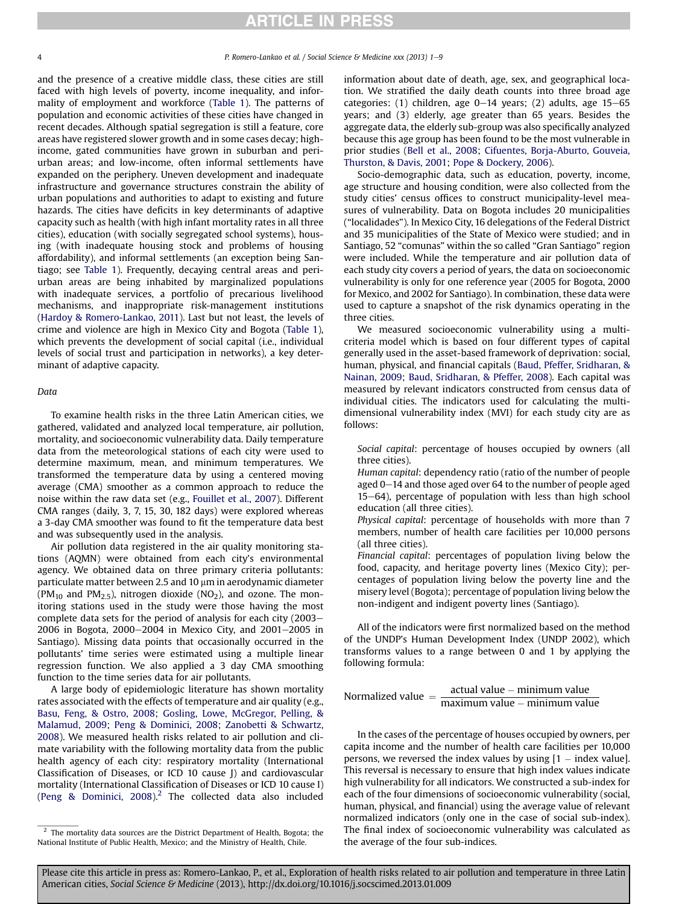and the presence of a creative middle class, these cities are still faced with high levels of poverty, income inequality, and informality of employment and workforce ([Table 1](#page-2-0)). The patterns of population and economic activities of these cities have changed in recent decades. Although spatial segregation is still a feature, core areas have registered slower growth and in some cases decay; highincome, gated communities have grown in suburban and periurban areas; and low-income, often informal settlements have expanded on the periphery. Uneven development and inadequate infrastructure and governance structures constrain the ability of urban populations and authorities to adapt to existing and future hazards. The cities have deficits in key determinants of adaptive capacity such as health (with high infant mortality rates in all three cities), education (with socially segregated school systems), housing (with inadequate housing stock and problems of housing affordability), and informal settlements (an exception being Santiago; see [Table 1\)](#page-2-0). Frequently, decaying central areas and periurban areas are being inhabited by marginalized populations with inadequate services, a portfolio of precarious livelihood mechanisms, and inappropriate risk-management institutions ([Hardoy & Romero-Lankao, 2011](#page-8-0)). Last but not least, the levels of crime and violence are high in Mexico City and Bogota [\(Table 1\)](#page-2-0), which prevents the development of social capital (i.e., individual levels of social trust and participation in networks), a key determinant of adaptive capacity.

### Data

To examine health risks in the three Latin American cities, we gathered, validated and analyzed local temperature, air pollution, mortality, and socioeconomic vulnerability data. Daily temperature data from the meteorological stations of each city were used to determine maximum, mean, and minimum temperatures. We transformed the temperature data by using a centered moving average (CMA) smoother as a common approach to reduce the noise within the raw data set (e.g., [Fouillet et al., 2007\)](#page-8-0). Different CMA ranges (daily, 3, 7, 15, 30, 182 days) were explored whereas a 3-day CMA smoother was found to fit the temperature data best and was subsequently used in the analysis.

Air pollution data registered in the air quality monitoring stations (AQMN) were obtained from each city's environmental agency. We obtained data on three primary criteria pollutants: particulate matter between 2.5 and 10  $\mu$ m in aerodynamic diameter (PM<sub>10</sub> and PM<sub>2.5</sub>), nitrogen dioxide (NO<sub>2</sub>), and ozone. The monitoring stations used in the study were those having the most complete data sets for the period of analysis for each city  $(2003 -$ 2006 in Bogota, 2000–2004 in Mexico City, and  $2001-2005$  in Santiago). Missing data points that occasionally occurred in the pollutants' time series were estimated using a multiple linear regression function. We also applied a 3 day CMA smoothing function to the time series data for air pollutants.

A large body of epidemiologic literature has shown mortality rates associated with the effects of temperature and air quality (e.g., [Basu, Feng, & Ostro, 2008](#page-8-0); [Gosling, Lowe, McGregor, Pelling, &](#page-8-0) [Malamud, 2009;](#page-8-0) [Peng & Dominici, 2008](#page-8-0); [Zanobetti & Schwartz,](#page-8-0) [2008](#page-8-0)). We measured health risks related to air pollution and climate variability with the following mortality data from the public health agency of each city: respiratory mortality (International Classification of Diseases, or ICD 10 cause J) and cardiovascular mortality (International Classification of Diseases or ICD 10 cause I) (Peng & Dominici,  $2008$ ).<sup>2</sup> The collected data also included information about date of death, age, sex, and geographical location. We stratified the daily death counts into three broad age categories:  $(1)$  children, age 0-14 years;  $(2)$  adults, age 15-65 years; and (3) elderly, age greater than 65 years. Besides the aggregate data, the elderly sub-group was also specifically analyzed because this age group has been found to be the most vulnerable in prior studies [\(Bell et al., 2008;](#page-8-0) [Cifuentes, Borja-Aburto, Gouveia,](#page-8-0) [Thurston, & Davis, 2001](#page-8-0); [Pope & Dockery, 2006](#page-8-0)).

Socio-demographic data, such as education, poverty, income, age structure and housing condition, were also collected from the study cities' census offices to construct municipality-level measures of vulnerability. Data on Bogota includes 20 municipalities ("localidades"). In Mexico City, 16 delegations of the Federal District and 35 municipalities of the State of Mexico were studied; and in Santiago, 52 "comunas" within the so called "Gran Santiago" region were included. While the temperature and air pollution data of each study city covers a period of years, the data on socioeconomic vulnerability is only for one reference year (2005 for Bogota, 2000 for Mexico, and 2002 for Santiago). In combination, these data were used to capture a snapshot of the risk dynamics operating in the three cities.

We measured socioeconomic vulnerability using a multicriteria model which is based on four different types of capital generally used in the asset-based framework of deprivation: social, human, physical, and financial capitals ([Baud, Pfeffer, Sridharan, &](#page-8-0) [Nainan, 2009;](#page-8-0) [Baud, Sridharan, & Pfeffer, 2008](#page-8-0)). Each capital was measured by relevant indicators constructed from census data of individual cities. The indicators used for calculating the multidimensional vulnerability index (MVI) for each study city are as follows:

Social capital: percentage of houses occupied by owners (all three cities).

Human capital: dependency ratio (ratio of the number of people aged  $0-14$  and those aged over 64 to the number of people aged  $15-64$ ), percentage of population with less than high school education (all three cities).

Physical capital: percentage of households with more than 7 members, number of health care facilities per 10,000 persons (all three cities).

Financial capital: percentages of population living below the food, capacity, and heritage poverty lines (Mexico City); percentages of population living below the poverty line and the misery level (Bogota); percentage of population living below the non-indigent and indigent poverty lines (Santiago).

All of the indicators were first normalized based on the method of the UNDP's Human Development Index (UNDP 2002), which transforms values to a range between 0 and 1 by applying the following formula:

| Normalized value $=$ | actual value – minimum value  |  |  |  |  |
|----------------------|-------------------------------|--|--|--|--|
|                      | maximum value – minimum value |  |  |  |  |

In the cases of the percentage of houses occupied by owners, per capita income and the number of health care facilities per 10,000 persons, we reversed the index values by using  $[1 -$  index value]. This reversal is necessary to ensure that high index values indicate high vulnerability for all indicators. We constructed a sub-index for each of the four dimensions of socioeconomic vulnerability (social, human, physical, and financial) using the average value of relevant normalized indicators (only one in the case of social sub-index). The final index of socioeconomic vulnerability was calculated as the average of the four sub-indices.

<sup>&</sup>lt;sup>2</sup> The mortality data sources are the District Department of Health, Bogota; the National Institute of Public Health, Mexico; and the Ministry of Health, Chile.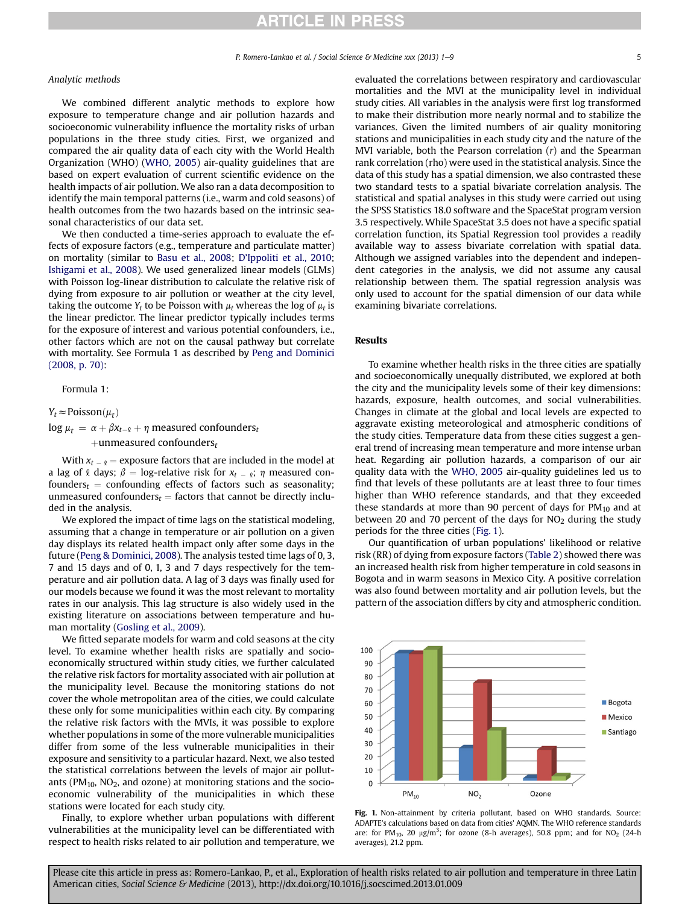### Analytic methods

We combined different analytic methods to explore how exposure to temperature change and air pollution hazards and socioeconomic vulnerability influence the mortality risks of urban populations in the three study cities. First, we organized and compared the air quality data of each city with the World Health Organization (WHO) ([WHO, 2005\)](#page-8-0) air-quality guidelines that are based on expert evaluation of current scientific evidence on the health impacts of air pollution. We also ran a data decomposition to identify the main temporal patterns (i.e., warm and cold seasons) of health outcomes from the two hazards based on the intrinsic seasonal characteristics of our data set.

We then conducted a time-series approach to evaluate the effects of exposure factors (e.g., temperature and particulate matter) on mortality (similar to [Basu et al., 2008](#page-8-0); D'[Ippoliti et al., 2010;](#page-8-0) [Ishigami et al., 2008\)](#page-8-0). We used generalized linear models (GLMs) with Poisson log-linear distribution to calculate the relative risk of dying from exposure to air pollution or weather at the city level, taking the outcome  $Y_t$  to be Poisson with  $\mu_t$  whereas the log of  $\mu_t$  is the linear predictor. The linear predictor typically includes terms for the exposure of interest and various potential confounders, i.e., other factors which are not on the causal pathway but correlate with mortality. See Formula 1 as described by [Peng and Dominici](#page-8-0) [\(2008, p. 70\):](#page-8-0)

Formula 1:

 $Y_t \approx \text{Poisson}(\mu_t)$  $\log \mu_t = \alpha + \beta x_{t-2} + \eta$  measured confounders  $+$ unmeasured confounders $_t$ 

With  $x_t = \ell$  = exposure factors that are included in the model at a lag of  $\ell$  days;  $\beta = \log$ -relative risk for  $x_t = \ell$ ;  $\eta$  measured confounders $t =$  confounding effects of factors such as seasonality; unmeasured confounders $t_f$  = factors that cannot be directly included in the analysis.

We explored the impact of time lags on the statistical modeling, assuming that a change in temperature or air pollution on a given day displays its related health impact only after some days in the future [\(Peng & Dominici, 2008](#page-8-0)). The analysis tested time lags of 0, 3, 7 and 15 days and of 0, 1, 3 and 7 days respectively for the temperature and air pollution data. A lag of 3 days was finally used for our models because we found it was the most relevant to mortality rates in our analysis. This lag structure is also widely used in the existing literature on associations between temperature and human mortality ([Gosling et al., 2009](#page-8-0)).

We fitted separate models for warm and cold seasons at the city level. To examine whether health risks are spatially and socioeconomically structured within study cities, we further calculated the relative risk factors for mortality associated with air pollution at the municipality level. Because the monitoring stations do not cover the whole metropolitan area of the cities, we could calculate these only for some municipalities within each city. By comparing the relative risk factors with the MVIs, it was possible to explore whether populations in some of the more vulnerable municipalities differ from some of the less vulnerable municipalities in their exposure and sensitivity to a particular hazard. Next, we also tested the statistical correlations between the levels of major air pollutants ( $PM_{10}$ ,  $NO<sub>2</sub>$ , and ozone) at monitoring stations and the socioeconomic vulnerability of the municipalities in which these stations were located for each study city.

Finally, to explore whether urban populations with different vulnerabilities at the municipality level can be differentiated with respect to health risks related to air pollution and temperature, we evaluated the correlations between respiratory and cardiovascular mortalities and the MVI at the municipality level in individual study cities. All variables in the analysis were first log transformed to make their distribution more nearly normal and to stabilize the variances. Given the limited numbers of air quality monitoring stations and municipalities in each study city and the nature of the MVI variable, both the Pearson correlation  $(r)$  and the Spearman rank correlation (rho) were used in the statistical analysis. Since the data of this study has a spatial dimension, we also contrasted these two standard tests to a spatial bivariate correlation analysis. The statistical and spatial analyses in this study were carried out using the SPSS Statistics 18.0 software and the SpaceStat program version 3.5 respectively. While SpaceStat 3.5 does not have a specific spatial correlation function, its Spatial Regression tool provides a readily available way to assess bivariate correlation with spatial data. Although we assigned variables into the dependent and independent categories in the analysis, we did not assume any causal relationship between them. The spatial regression analysis was only used to account for the spatial dimension of our data while examining bivariate correlations.

## Results

To examine whether health risks in the three cities are spatially and socioeconomically unequally distributed, we explored at both the city and the municipality levels some of their key dimensions: hazards, exposure, health outcomes, and social vulnerabilities. Changes in climate at the global and local levels are expected to aggravate existing meteorological and atmospheric conditions of the study cities. Temperature data from these cities suggest a general trend of increasing mean temperature and more intense urban heat. Regarding air pollution hazards, a comparison of our air quality data with the [WHO, 2005](#page-8-0) air-quality guidelines led us to find that levels of these pollutants are at least three to four times higher than WHO reference standards, and that they exceeded these standards at more than 90 percent of days for  $PM_{10}$  and at between 20 and 70 percent of the days for  $NO<sub>2</sub>$  during the study periods for the three cities (Fig. 1).

Our quantification of urban populations' likelihood or relative risk (RR) of dying from exposure factors ([Table 2](#page-5-0)) showed there was an increased health risk from higher temperature in cold seasons in Bogota and in warm seasons in Mexico City. A positive correlation was also found between mortality and air pollution levels, but the pattern of the association differs by city and atmospheric condition.



Fig. 1. Non-attainment by criteria pollutant, based on WHO standards. Source: ADAPTE's calculations based on data from cities' AQMN. The WHO reference standards are: for PM<sub>10</sub>, 20  $\mu$ g/m<sup>3</sup>; for ozone (8-h averages), 50.8 ppm; and for NO<sub>2</sub> (24-h averages), 21.2 ppm.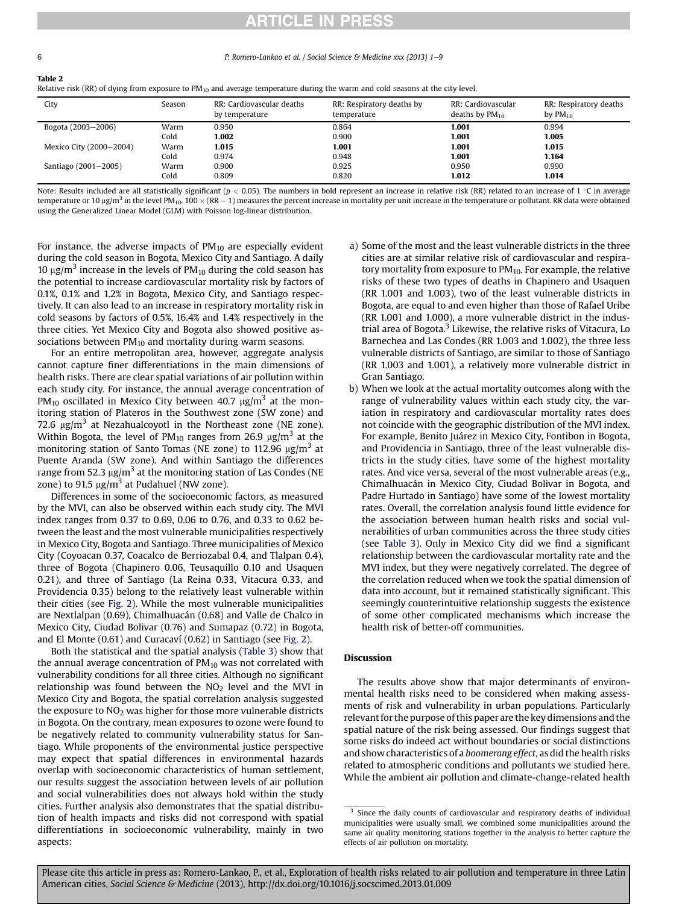#### P. Romero-Lankao et al. / Social Science & Medicine xxx (2013) 1-9

<span id="page-5-0"></span>

|  | I |
|--|---|
|  |   |
|  |   |

| Table 2 |  |  |  |
|---------|--|--|--|
|         |  |  |  |

| Relative risk (RR) of dying from exposure to $PM_{10}$ and average temperature during the warm and cold seasons at the city level. |  |
|------------------------------------------------------------------------------------------------------------------------------------|--|
|------------------------------------------------------------------------------------------------------------------------------------|--|

| City                    | Season | RR: Cardiovascular deaths<br>by temperature | RR: Respiratory deaths by<br>temperature | RR: Cardiovascular<br>deaths by $PM_{10}$ | RR: Respiratory deaths<br>by $PM_{10}$ |
|-------------------------|--------|---------------------------------------------|------------------------------------------|-------------------------------------------|----------------------------------------|
| Bogota (2003-2006)      | Warm   | 0.950                                       | 0.864                                    | 1.001                                     | 0.994                                  |
|                         | Cold   | .002                                        | 0.900                                    | 1.001                                     | 1.005                                  |
| Mexico City (2000-2004) | Warm   | 1.015                                       | 1.001                                    | 1.001                                     | 1.015                                  |
|                         | Cold   | 0.974                                       | 0.948                                    | 1.001                                     | 1.164                                  |
| Santiago (2001-2005)    | Warm   | 0.900                                       | 0.925                                    | 0.950                                     | 0.990                                  |
|                         | Cold   | 0.809                                       | 0.820                                    | 1.012                                     | 1.014                                  |

Note: Results included are all statistically significant ( $p < 0.05$ ). The numbers in bold represent an increase in relative risk (RR) related to an increase of 1 °C in average temperature or 10 µg/m<sup>3</sup> in the level PM<sub>10</sub>. 100  $\times$  (RR - 1) measures the percent increase in mortality per unit increase in the temperature or pollutant. RR data were obtained using the Generalized Linear Model (GLM) with Poisson log-linear distribution.

For instance, the adverse impacts of  $PM_{10}$  are especially evident during the cold season in Bogota, Mexico City and Santiago. A daily 10  $\mu$ g/m<sup>3</sup> increase in the levels of PM<sub>10</sub> during the cold season has the potential to increase cardiovascular mortality risk by factors of 0.1%, 0.1% and 1.2% in Bogota, Mexico City, and Santiago respectively. It can also lead to an increase in respiratory mortality risk in cold seasons by factors of 0.5%, 16.4% and 1.4% respectively in the three cities. Yet Mexico City and Bogota also showed positive associations between  $PM_{10}$  and mortality during warm seasons.

For an entire metropolitan area, however, aggregate analysis cannot capture finer differentiations in the main dimensions of health risks. There are clear spatial variations of air pollution within each study city. For instance, the annual average concentration of PM<sub>10</sub> oscillated in Mexico City between 40.7  $\mu$ g/m<sup>3</sup> at the monitoring station of Plateros in the Southwest zone (SW zone) and 72.6  $\mu$ g/m<sup>3</sup> at Nezahualcoyotl in the Northeast zone (NE zone). Within Bogota, the level of  $PM_{10}$  ranges from 26.9  $\mu$ g/m<sup>3</sup> at the monitoring station of Santo Tomas (NE zone) to 112.96  $\mu$ g/m<sup>3</sup> at Puente Aranda (SW zone). And within Santiago the differences range from 52.3  $\mu$ g/m<sup>3</sup> at the monitoring station of Las Condes (NE zone) to 91.5  $\mu$ g/m<sup>3</sup> at Pudahuel (NW zone).

Differences in some of the socioeconomic factors, as measured by the MVI, can also be observed within each study city. The MVI index ranges from 0.37 to 0.69, 0.06 to 0.76, and 0.33 to 0.62 between the least and the most vulnerable municipalities respectively in Mexico City, Bogota and Santiago. Three municipalities of Mexico City (Coyoacan 0.37, Coacalco de Berriozabal 0.4, and Tlalpan 0.4), three of Bogota (Chapinero 0.06, Teusaquillo 0.10 and Usaquen 0.21), and three of Santiago (La Reina 0.33, Vitacura 0.33, and Providencia 0.35) belong to the relatively least vulnerable within their cities (see [Fig. 2\)](#page-6-0). While the most vulnerable municipalities are Nextlalpan (0.69), Chimalhuacán (0.68) and Valle de Chalco in Mexico City, Ciudad Bolivar (0.76) and Sumapaz (0.72) in Bogota, and El Monte (0.61) and Curacaví (0.62) in Santiago (see [Fig. 2\)](#page-6-0).

Both the statistical and the spatial analysis ([Table 3](#page-7-0)) show that the annual average concentration of  $PM_{10}$  was not correlated with vulnerability conditions for all three cities. Although no significant relationship was found between the  $NO<sub>2</sub>$  level and the MVI in Mexico City and Bogota, the spatial correlation analysis suggested the exposure to  $NO<sub>2</sub>$  was higher for those more vulnerable districts in Bogota. On the contrary, mean exposures to ozone were found to be negatively related to community vulnerability status for Santiago. While proponents of the environmental justice perspective may expect that spatial differences in environmental hazards overlap with socioeconomic characteristics of human settlement, our results suggest the association between levels of air pollution and social vulnerabilities does not always hold within the study cities. Further analysis also demonstrates that the spatial distribution of health impacts and risks did not correspond with spatial differentiations in socioeconomic vulnerability, mainly in two aspects:

- a) Some of the most and the least vulnerable districts in the three cities are at similar relative risk of cardiovascular and respiratory mortality from exposure to  $PM_{10}$ . For example, the relative risks of these two types of deaths in Chapinero and Usaquen (RR 1.001 and 1.003), two of the least vulnerable districts in Bogota, are equal to and even higher than those of Rafael Uribe (RR 1.001 and 1.000), a more vulnerable district in the industrial area of Bogota.<sup>3</sup> Likewise, the relative risks of Vitacura, Lo Barnechea and Las Condes (RR 1.003 and 1.002), the three less vulnerable districts of Santiago, are similar to those of Santiago (RR 1.003 and 1.001), a relatively more vulnerable district in Gran Santiago.
- b) When we look at the actual mortality outcomes along with the range of vulnerability values within each study city, the variation in respiratory and cardiovascular mortality rates does not coincide with the geographic distribution of the MVI index. For example, Benito Juárez in Mexico City, Fontibon in Bogota, and Providencia in Santiago, three of the least vulnerable districts in the study cities, have some of the highest mortality rates. And vice versa, several of the most vulnerable areas (e.g., Chimalhuacán in Mexico City, Ciudad Bolivar in Bogota, and Padre Hurtado in Santiago) have some of the lowest mortality rates. Overall, the correlation analysis found little evidence for the association between human health risks and social vulnerabilities of urban communities across the three study cities (see [Table 3\)](#page-7-0). Only in Mexico City did we find a significant relationship between the cardiovascular mortality rate and the MVI index, but they were negatively correlated. The degree of the correlation reduced when we took the spatial dimension of data into account, but it remained statistically significant. This seemingly counterintuitive relationship suggests the existence of some other complicated mechanisms which increase the health risk of better-off communities.

## Discussion

The results above show that major determinants of environmental health risks need to be considered when making assessments of risk and vulnerability in urban populations. Particularly relevant for the purpose of this paper are the key dimensions and the spatial nature of the risk being assessed. Our findings suggest that some risks do indeed act without boundaries or social distinctions and show characteristics of a boomerang effect, as did the health risks related to atmospheric conditions and pollutants we studied here. While the ambient air pollution and climate-change-related health

<sup>&</sup>lt;sup>3</sup> Since the daily counts of cardiovascular and respiratory deaths of individual municipalities were usually small, we combined some municipalities around the same air quality monitoring stations together in the analysis to better capture the effects of air pollution on mortality.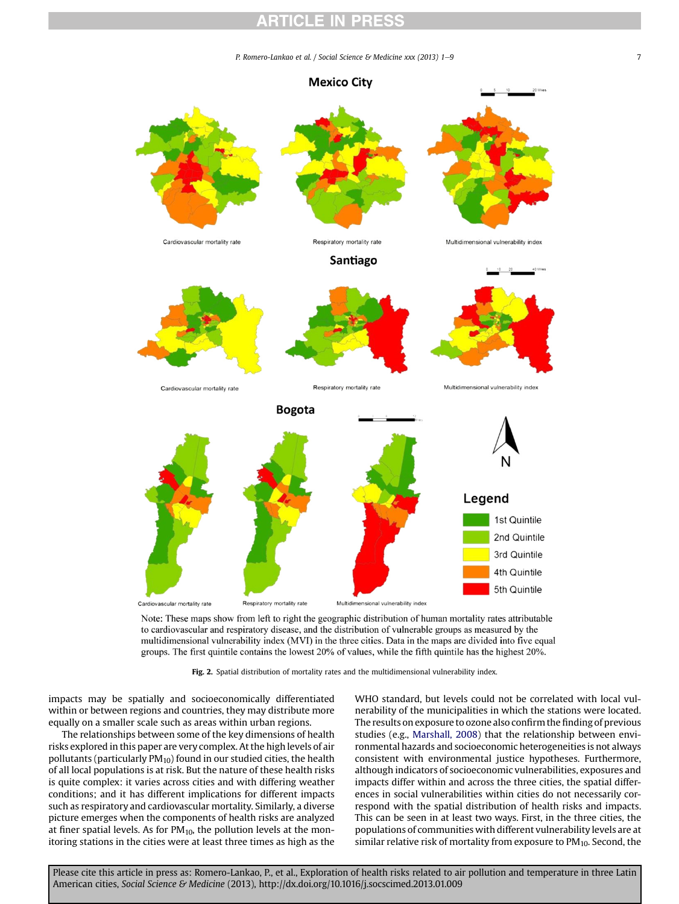P. Romero-Lankao et al. / Social Science & Medicine xxx (2013) 1-9 7

<span id="page-6-0"></span>

Note: These maps show from left to right the geographic distribution of human mortality rates attributable to cardiovascular and respiratory disease, and the distribution of vulnerable groups as measured by the multidimensional vulnerability index (MVI) in the three cities. Data in the maps are divided into five equal groups. The first quintile contains the lowest 20% of values, while the fifth quintile has the highest 20%.

Fig. 2. Spatial distribution of mortality rates and the multidimensional vulnerability index.

impacts may be spatially and socioeconomically differentiated within or between regions and countries, they may distribute more equally on a smaller scale such as areas within urban regions.

The relationships between some of the key dimensions of health risks explored in this paper are very complex. At the high levels of air pollutants (particularly  $PM_{10}$ ) found in our studied cities, the health of all local populations is at risk. But the nature of these health risks is quite complex: it varies across cities and with differing weather conditions; and it has different implications for different impacts such as respiratory and cardiovascular mortality. Similarly, a diverse picture emerges when the components of health risks are analyzed at finer spatial levels. As for  $PM_{10}$ , the pollution levels at the monitoring stations in the cities were at least three times as high as the

WHO standard, but levels could not be correlated with local vulnerability of the municipalities in which the stations were located. The results on exposure to ozone also confirm the finding of previous studies (e.g., [Marshall, 2008](#page-8-0)) that the relationship between environmental hazards and socioeconomic heterogeneities is not always consistent with environmental justice hypotheses. Furthermore, although indicators of socioeconomic vulnerabilities, exposures and impacts differ within and across the three cities, the spatial differences in social vulnerabilities within cities do not necessarily correspond with the spatial distribution of health risks and impacts. This can be seen in at least two ways. First, in the three cities, the populations of communities with different vulnerability levels are at similar relative risk of mortality from exposure to  $PM_{10}$ . Second, the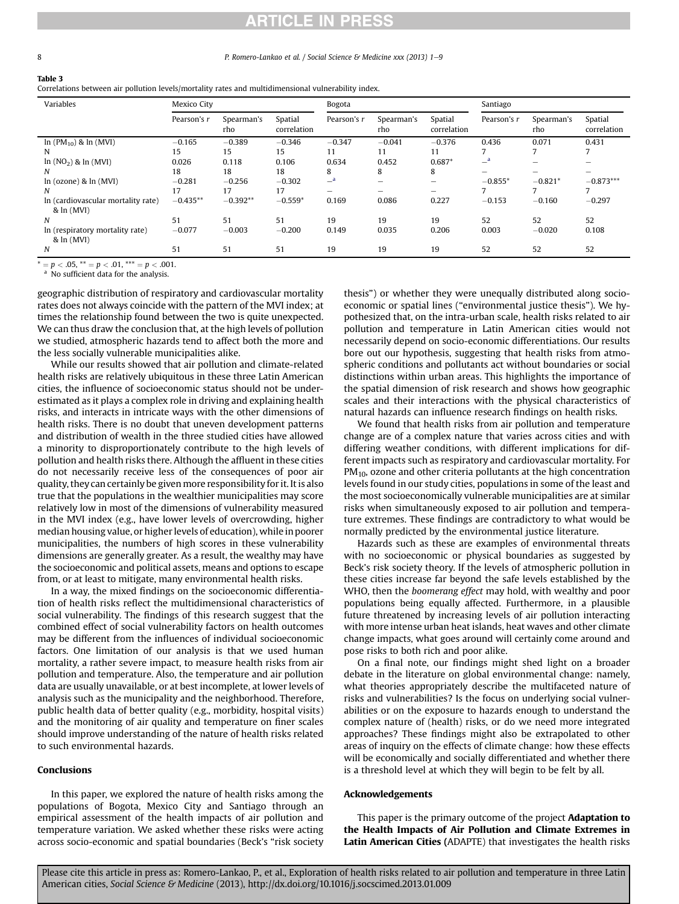<span id="page-7-0"></span>8 **B. Romero-Lankao et al. / Social Science & Medicine xxx (2013) 1–9** 

#### Table 3

Correlations between air pollution levels/mortality rates and multidimensional vulnerability index.

| Variables<br>Mexico City                            |             |                   | Bogota                 |                  |                          | Santiago               |             |                   |                        |
|-----------------------------------------------------|-------------|-------------------|------------------------|------------------|--------------------------|------------------------|-------------|-------------------|------------------------|
|                                                     | Pearson's r | Spearman's<br>rho | Spatial<br>correlation | Pearson's r      | Spearman's<br>rho        | Spatial<br>correlation | Pearson's r | Spearman's<br>rho | Spatial<br>correlation |
| $\ln (PM_{10})$ & $\ln (MVI)$                       | $-0.165$    | $-0.389$          | $-0.346$               | $-0.347$         | $-0.041$                 | $-0.376$               | 0.436       | 0.071             | 0.431                  |
| N                                                   | 15          | 15                | 15                     | 11               | 11                       | 11                     |             |                   |                        |
| $ln (NO2)$ & $ln (MVI)$                             | 0.026       | 0.118             | 0.106                  | 0.634            | 0.452                    | $0.687*$               | $-{}^a$     |                   |                        |
| N                                                   | 18          | 18                | 18                     | 8                | 8                        | 8                      |             |                   |                        |
| $ln (ozone)$ & $ln (MVI)$                           | $-0.281$    | $-0.256$          | $-0.302$               | $-$ <sup>a</sup> | $\overline{\phantom{0}}$ | -                      | $-0.855*$   | $-0.821*$         | $-0.873***$            |
| N                                                   | 17          | 17                | 17                     | -                |                          | -                      |             |                   | 7                      |
| In (cardiovascular mortality rate)<br>$\&$ ln (MVI) | $-0.435**$  | $-0.392**$        | $-0.559*$              | 0.169            | 0.086                    | 0.227                  | $-0.153$    | $-0.160$          | $-0.297$               |
| Ν                                                   | 51          | 51                | 51                     | 19               | 19                       | 19                     | 52          | 52                | 52                     |
| In (respiratory mortality rate)<br>$\&$ ln (MVI)    | $-0.077$    | $-0.003$          | $-0.200$               | 0.149            | 0.035                    | 0.206                  | 0.003       | $-0.020$          | 0.108                  |
| N                                                   | 51          | 51                | 51                     | 19               | 19                       | 19                     | 52          | 52                | 52                     |

\* =  $p < .05$ , \*\* =  $p < .01$ , \*\*\* =  $p < .001$ .<br><sup>a</sup> No sufficient data for the analysis.

geographic distribution of respiratory and cardiovascular mortality rates does not always coincide with the pattern of the MVI index; at times the relationship found between the two is quite unexpected. We can thus draw the conclusion that, at the high levels of pollution we studied, atmospheric hazards tend to affect both the more and the less socially vulnerable municipalities alike.

While our results showed that air pollution and climate-related health risks are relatively ubiquitous in these three Latin American cities, the influence of socioeconomic status should not be underestimated as it plays a complex role in driving and explaining health risks, and interacts in intricate ways with the other dimensions of health risks. There is no doubt that uneven development patterns and distribution of wealth in the three studied cities have allowed a minority to disproportionately contribute to the high levels of pollution and health risks there. Although the affluent in these cities do not necessarily receive less of the consequences of poor air quality, they can certainly be given more responsibility for it. It is also true that the populations in the wealthier municipalities may score relatively low in most of the dimensions of vulnerability measured in the MVI index (e.g., have lower levels of overcrowding, higher median housing value, or higher levels of education), while in poorer municipalities, the numbers of high scores in these vulnerability dimensions are generally greater. As a result, the wealthy may have the socioeconomic and political assets, means and options to escape from, or at least to mitigate, many environmental health risks.

In a way, the mixed findings on the socioeconomic differentiation of health risks reflect the multidimensional characteristics of social vulnerability. The findings of this research suggest that the combined effect of social vulnerability factors on health outcomes may be different from the influences of individual socioeconomic factors. One limitation of our analysis is that we used human mortality, a rather severe impact, to measure health risks from air pollution and temperature. Also, the temperature and air pollution data are usually unavailable, or at best incomplete, at lower levels of analysis such as the municipality and the neighborhood. Therefore, public health data of better quality (e.g., morbidity, hospital visits) and the monitoring of air quality and temperature on finer scales should improve understanding of the nature of health risks related to such environmental hazards.

## Conclusions

In this paper, we explored the nature of health risks among the populations of Bogota, Mexico City and Santiago through an empirical assessment of the health impacts of air pollution and temperature variation. We asked whether these risks were acting across socio-economic and spatial boundaries (Beck's "risk society thesis") or whether they were unequally distributed along socioeconomic or spatial lines ("environmental justice thesis"). We hypothesized that, on the intra-urban scale, health risks related to air pollution and temperature in Latin American cities would not necessarily depend on socio-economic differentiations. Our results bore out our hypothesis, suggesting that health risks from atmospheric conditions and pollutants act without boundaries or social distinctions within urban areas. This highlights the importance of the spatial dimension of risk research and shows how geographic scales and their interactions with the physical characteristics of natural hazards can influence research findings on health risks.

We found that health risks from air pollution and temperature change are of a complex nature that varies across cities and with differing weather conditions, with different implications for different impacts such as respiratory and cardiovascular mortality. For  $PM<sub>10</sub>$ , ozone and other criteria pollutants at the high concentration levels found in our study cities, populations in some of the least and the most socioeconomically vulnerable municipalities are at similar risks when simultaneously exposed to air pollution and temperature extremes. These findings are contradictory to what would be normally predicted by the environmental justice literature.

Hazards such as these are examples of environmental threats with no socioeconomic or physical boundaries as suggested by Beck's risk society theory. If the levels of atmospheric pollution in these cities increase far beyond the safe levels established by the WHO, then the boomerang effect may hold, with wealthy and poor populations being equally affected. Furthermore, in a plausible future threatened by increasing levels of air pollution interacting with more intense urban heat islands, heat waves and other climate change impacts, what goes around will certainly come around and pose risks to both rich and poor alike.

On a final note, our findings might shed light on a broader debate in the literature on global environmental change: namely, what theories appropriately describe the multifaceted nature of risks and vulnerabilities? Is the focus on underlying social vulnerabilities or on the exposure to hazards enough to understand the complex nature of (health) risks, or do we need more integrated approaches? These findings might also be extrapolated to other areas of inquiry on the effects of climate change: how these effects will be economically and socially differentiated and whether there is a threshold level at which they will begin to be felt by all.

## Acknowledgements

This paper is the primary outcome of the project Adaptation to the Health Impacts of Air Pollution and Climate Extremes in Latin American Cities (ADAPTE) that investigates the health risks